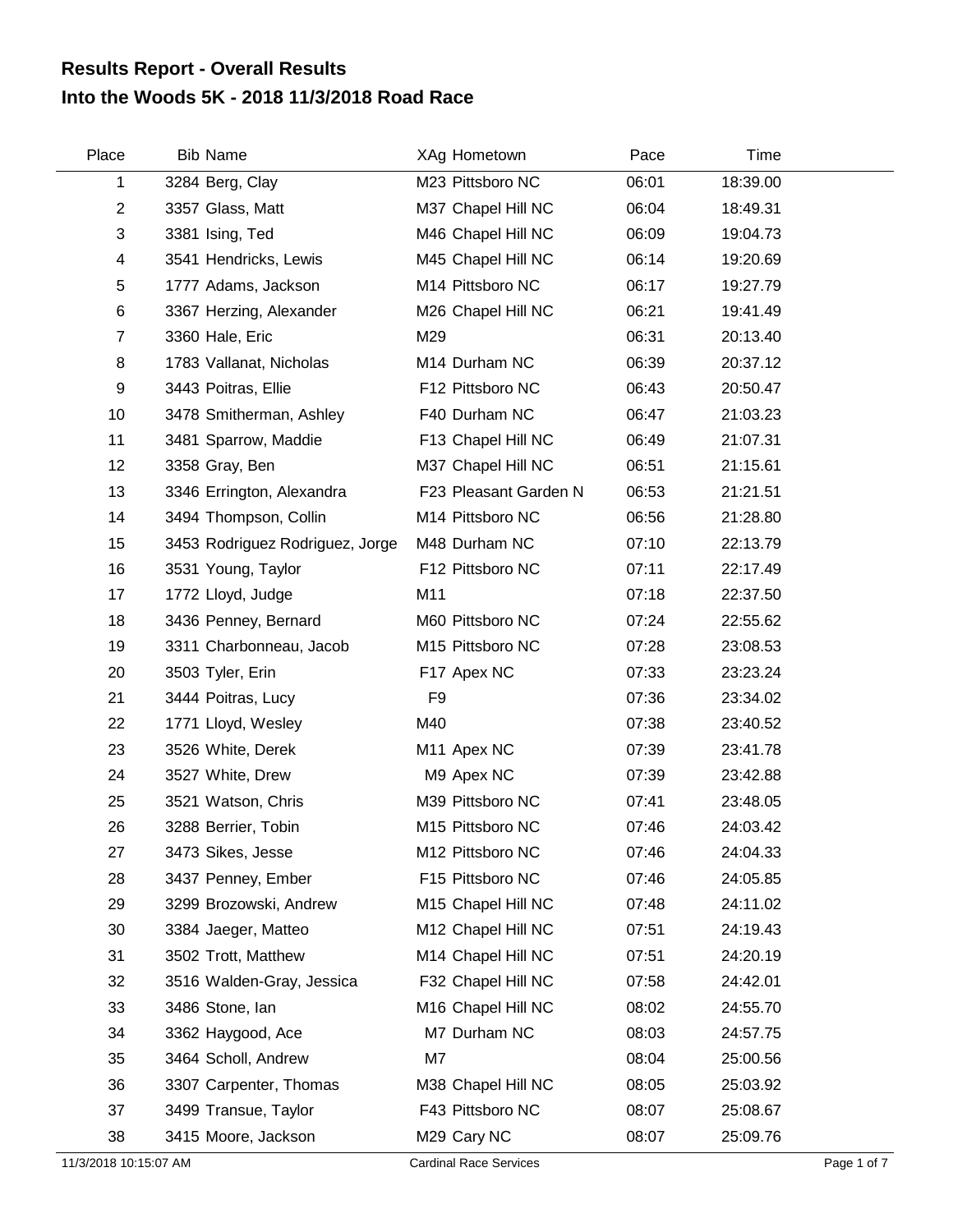## **Into the Woods 5K - 2018 11/3/2018 Road Race Results Report - Overall Results**

| Place          | <b>Bib Name</b>                 | XAg Hometown          | Pace  | Time     |
|----------------|---------------------------------|-----------------------|-------|----------|
| 1              | 3284 Berg, Clay                 | M23 Pittsboro NC      | 06:01 | 18:39.00 |
| $\overline{c}$ | 3357 Glass, Matt                | M37 Chapel Hill NC    | 06:04 | 18:49.31 |
| 3              | 3381 Ising, Ted                 | M46 Chapel Hill NC    | 06:09 | 19:04.73 |
| 4              | 3541 Hendricks, Lewis           | M45 Chapel Hill NC    | 06:14 | 19:20.69 |
| 5              | 1777 Adams, Jackson             | M14 Pittsboro NC      | 06:17 | 19:27.79 |
| 6              | 3367 Herzing, Alexander         | M26 Chapel Hill NC    | 06:21 | 19:41.49 |
| $\overline{7}$ | 3360 Hale, Eric                 | M29                   | 06:31 | 20:13.40 |
| 8              | 1783 Vallanat, Nicholas         | M14 Durham NC         | 06:39 | 20:37.12 |
| 9              | 3443 Poitras, Ellie             | F12 Pittsboro NC      | 06:43 | 20:50.47 |
| 10             | 3478 Smitherman, Ashley         | F40 Durham NC         | 06:47 | 21:03.23 |
| 11             | 3481 Sparrow, Maddie            | F13 Chapel Hill NC    | 06:49 | 21:07.31 |
| 12             | 3358 Gray, Ben                  | M37 Chapel Hill NC    | 06:51 | 21:15.61 |
| 13             | 3346 Errington, Alexandra       | F23 Pleasant Garden N | 06:53 | 21:21.51 |
| 14             | 3494 Thompson, Collin           | M14 Pittsboro NC      | 06:56 | 21:28.80 |
| 15             | 3453 Rodriguez Rodriguez, Jorge | M48 Durham NC         | 07:10 | 22:13.79 |
| 16             | 3531 Young, Taylor              | F12 Pittsboro NC      | 07:11 | 22:17.49 |
| 17             | 1772 Lloyd, Judge               | M11                   | 07:18 | 22:37.50 |
| 18             | 3436 Penney, Bernard            | M60 Pittsboro NC      | 07:24 | 22:55.62 |
| 19             | 3311 Charbonneau, Jacob         | M15 Pittsboro NC      | 07:28 | 23:08.53 |
| 20             | 3503 Tyler, Erin                | F17 Apex NC           | 07:33 | 23:23.24 |
| 21             | 3444 Poitras, Lucy              | F9                    | 07:36 | 23:34.02 |
| 22             | 1771 Lloyd, Wesley              | M40                   | 07:38 | 23:40.52 |
| 23             | 3526 White, Derek               | M11 Apex NC           | 07:39 | 23:41.78 |
| 24             | 3527 White, Drew                | M9 Apex NC            | 07:39 | 23:42.88 |
| 25             | 3521 Watson, Chris              | M39 Pittsboro NC      | 07:41 | 23:48.05 |
| 26             | 3288 Berrier, Tobin             | M15 Pittsboro NC      | 07:46 | 24:03.42 |
| 27             | 3473 Sikes, Jesse               | M12 Pittsboro NC      | 07:46 | 24:04.33 |
| 28             | 3437 Penney, Ember              | F15 Pittsboro NC      | 07:46 | 24:05.85 |
| 29             | 3299 Brozowski, Andrew          | M15 Chapel Hill NC    | 07:48 | 24:11.02 |
| 30             | 3384 Jaeger, Matteo             | M12 Chapel Hill NC    | 07:51 | 24:19.43 |
| 31             | 3502 Trott, Matthew             | M14 Chapel Hill NC    | 07:51 | 24:20.19 |
| 32             | 3516 Walden-Gray, Jessica       | F32 Chapel Hill NC    | 07:58 | 24:42.01 |
| 33             | 3486 Stone, Ian                 | M16 Chapel Hill NC    | 08:02 | 24:55.70 |
| 34             | 3362 Haygood, Ace               | M7 Durham NC          | 08:03 | 24:57.75 |
| 35             | 3464 Scholl, Andrew             | M7                    | 08:04 | 25:00.56 |
| 36             | 3307 Carpenter, Thomas          | M38 Chapel Hill NC    | 08:05 | 25:03.92 |
| 37             | 3499 Transue, Taylor            | F43 Pittsboro NC      | 08:07 | 25:08.67 |
| 38             | 3415 Moore, Jackson             | M29 Cary NC           | 08:07 | 25:09.76 |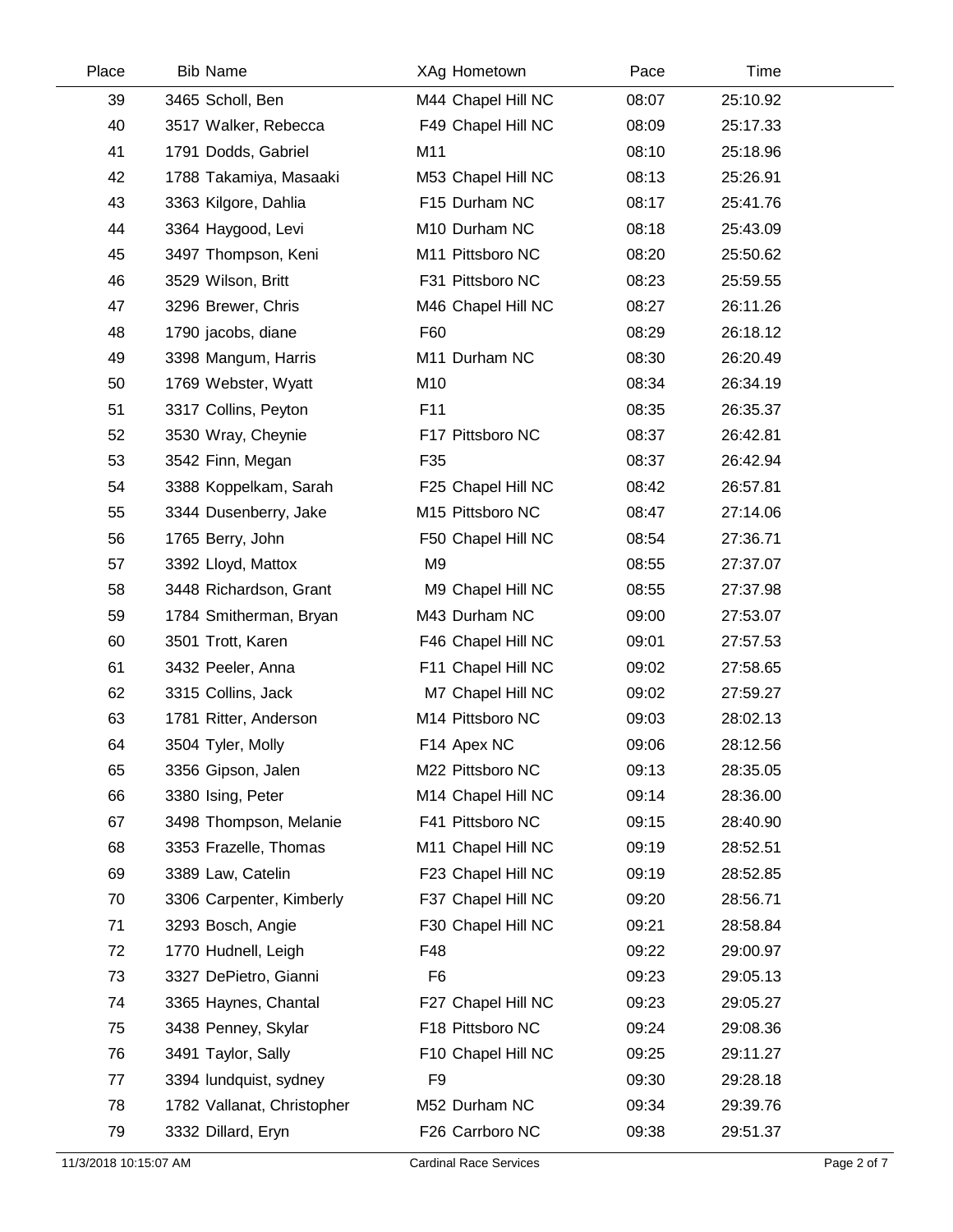| Place | <b>Bib Name</b>            | XAg Hometown       | Pace  | Time     |  |
|-------|----------------------------|--------------------|-------|----------|--|
| 39    | 3465 Scholl, Ben           | M44 Chapel Hill NC | 08:07 | 25:10.92 |  |
| 40    | 3517 Walker, Rebecca       | F49 Chapel Hill NC | 08:09 | 25:17.33 |  |
| 41    | 1791 Dodds, Gabriel        | M11                | 08:10 | 25:18.96 |  |
| 42    | 1788 Takamiya, Masaaki     | M53 Chapel Hill NC | 08:13 | 25:26.91 |  |
| 43    | 3363 Kilgore, Dahlia       | F15 Durham NC      | 08:17 | 25:41.76 |  |
| 44    | 3364 Haygood, Levi         | M10 Durham NC      | 08:18 | 25:43.09 |  |
| 45    | 3497 Thompson, Keni        | M11 Pittsboro NC   | 08:20 | 25:50.62 |  |
| 46    | 3529 Wilson, Britt         | F31 Pittsboro NC   | 08:23 | 25:59.55 |  |
| 47    | 3296 Brewer, Chris         | M46 Chapel Hill NC | 08:27 | 26:11.26 |  |
| 48    | 1790 jacobs, diane         | F60                | 08:29 | 26:18.12 |  |
| 49    | 3398 Mangum, Harris        | M11 Durham NC      | 08:30 | 26:20.49 |  |
| 50    | 1769 Webster, Wyatt        | M10                | 08:34 | 26:34.19 |  |
| 51    | 3317 Collins, Peyton       | F11                | 08:35 | 26:35.37 |  |
| 52    | 3530 Wray, Cheynie         | F17 Pittsboro NC   | 08:37 | 26:42.81 |  |
| 53    | 3542 Finn, Megan           | F35                | 08:37 | 26:42.94 |  |
| 54    | 3388 Koppelkam, Sarah      | F25 Chapel Hill NC | 08:42 | 26:57.81 |  |
| 55    | 3344 Dusenberry, Jake      | M15 Pittsboro NC   | 08:47 | 27:14.06 |  |
| 56    | 1765 Berry, John           | F50 Chapel Hill NC | 08:54 | 27:36.71 |  |
| 57    | 3392 Lloyd, Mattox         | M <sub>9</sub>     | 08:55 | 27:37.07 |  |
| 58    | 3448 Richardson, Grant     | M9 Chapel Hill NC  | 08:55 | 27:37.98 |  |
| 59    | 1784 Smitherman, Bryan     | M43 Durham NC      | 09:00 | 27:53.07 |  |
| 60    | 3501 Trott, Karen          | F46 Chapel Hill NC | 09:01 | 27:57.53 |  |
| 61    | 3432 Peeler, Anna          | F11 Chapel Hill NC | 09:02 | 27:58.65 |  |
| 62    | 3315 Collins, Jack         | M7 Chapel Hill NC  | 09:02 | 27:59.27 |  |
| 63    | 1781 Ritter, Anderson      | M14 Pittsboro NC   | 09:03 | 28:02.13 |  |
| 64    | 3504 Tyler, Molly          | F14 Apex NC        | 09:06 | 28:12.56 |  |
| 65    | 3356 Gipson, Jalen         | M22 Pittsboro NC   | 09:13 | 28:35.05 |  |
| 66    | 3380 Ising, Peter          | M14 Chapel Hill NC | 09:14 | 28:36.00 |  |
| 67    | 3498 Thompson, Melanie     | F41 Pittsboro NC   | 09:15 | 28:40.90 |  |
| 68    | 3353 Frazelle, Thomas      | M11 Chapel Hill NC | 09:19 | 28:52.51 |  |
| 69    | 3389 Law, Catelin          | F23 Chapel Hill NC | 09:19 | 28:52.85 |  |
| 70    | 3306 Carpenter, Kimberly   | F37 Chapel Hill NC | 09:20 | 28:56.71 |  |
| 71    | 3293 Bosch, Angie          | F30 Chapel Hill NC | 09:21 | 28:58.84 |  |
| 72    | 1770 Hudnell, Leigh        | F48                | 09:22 | 29:00.97 |  |
| 73    | 3327 DePietro, Gianni      | F <sub>6</sub>     | 09:23 | 29:05.13 |  |
| 74    | 3365 Haynes, Chantal       | F27 Chapel Hill NC | 09:23 | 29:05.27 |  |
| 75    | 3438 Penney, Skylar        | F18 Pittsboro NC   | 09:24 | 29:08.36 |  |
| 76    | 3491 Taylor, Sally         | F10 Chapel Hill NC | 09:25 | 29:11.27 |  |
| 77    | 3394 lundquist, sydney     | F <sub>9</sub>     | 09:30 | 29:28.18 |  |
| 78    | 1782 Vallanat, Christopher | M52 Durham NC      | 09:34 | 29:39.76 |  |
| 79    | 3332 Dillard, Eryn         | F26 Carrboro NC    | 09:38 | 29:51.37 |  |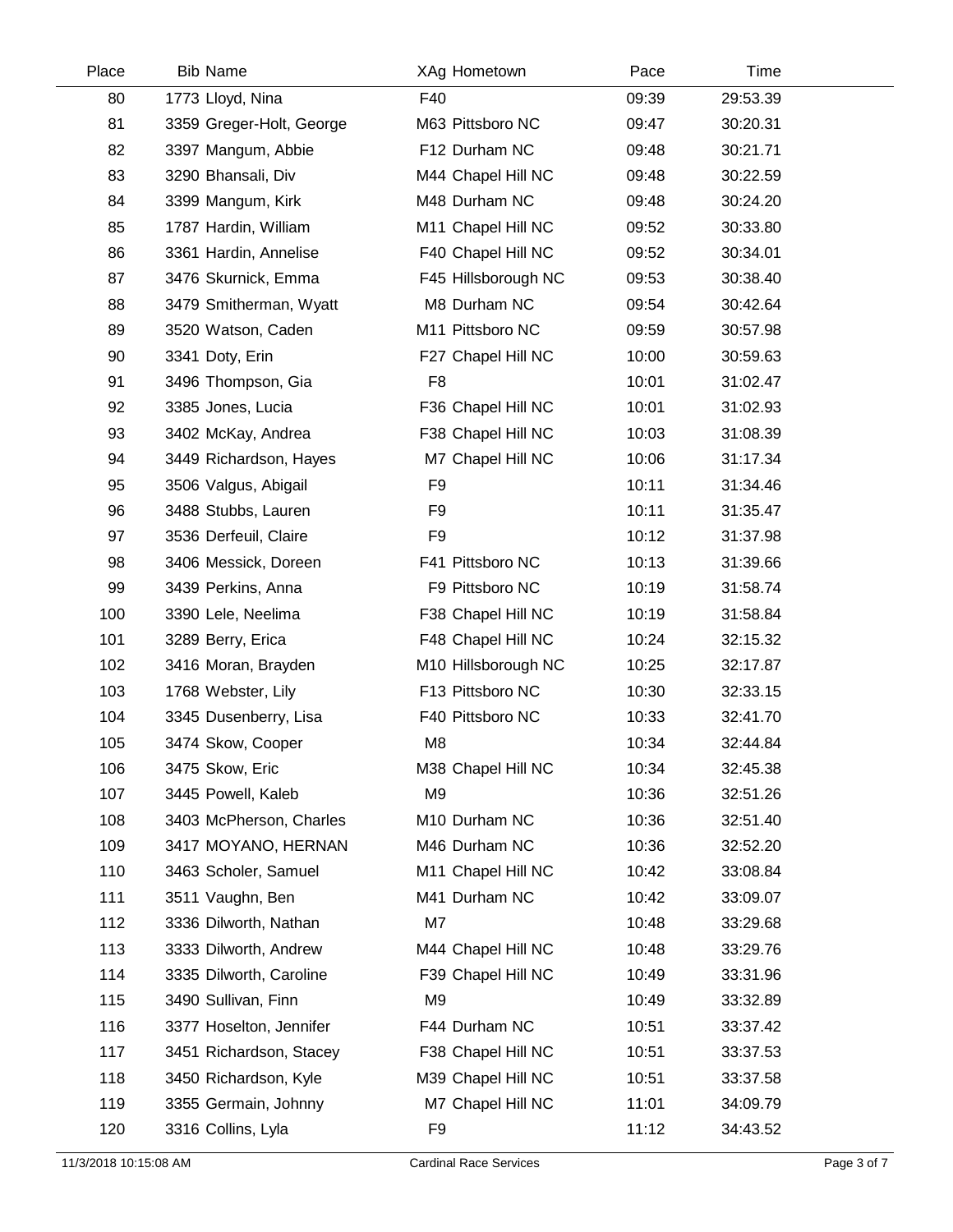| Place | <b>Bib Name</b>          | XAg Hometown        | Pace  | Time     |  |
|-------|--------------------------|---------------------|-------|----------|--|
| 80    | 1773 Lloyd, Nina         | F40                 | 09:39 | 29:53.39 |  |
| 81    | 3359 Greger-Holt, George | M63 Pittsboro NC    | 09:47 | 30:20.31 |  |
| 82    | 3397 Mangum, Abbie       | F12 Durham NC       | 09:48 | 30:21.71 |  |
| 83    | 3290 Bhansali, Div       | M44 Chapel Hill NC  | 09:48 | 30:22.59 |  |
| 84    | 3399 Mangum, Kirk        | M48 Durham NC       | 09:48 | 30:24.20 |  |
| 85    | 1787 Hardin, William     | M11 Chapel Hill NC  | 09:52 | 30:33.80 |  |
| 86    | 3361 Hardin, Annelise    | F40 Chapel Hill NC  | 09:52 | 30:34.01 |  |
| 87    | 3476 Skurnick, Emma      | F45 Hillsborough NC | 09:53 | 30:38.40 |  |
| 88    | 3479 Smitherman, Wyatt   | M8 Durham NC        | 09:54 | 30:42.64 |  |
| 89    | 3520 Watson, Caden       | M11 Pittsboro NC    | 09:59 | 30:57.98 |  |
| 90    | 3341 Doty, Erin          | F27 Chapel Hill NC  | 10:00 | 30:59.63 |  |
| 91    | 3496 Thompson, Gia       | F <sub>8</sub>      | 10:01 | 31:02.47 |  |
| 92    | 3385 Jones, Lucia        | F36 Chapel Hill NC  | 10:01 | 31:02.93 |  |
| 93    | 3402 McKay, Andrea       | F38 Chapel Hill NC  | 10:03 | 31:08.39 |  |
| 94    | 3449 Richardson, Hayes   | M7 Chapel Hill NC   | 10:06 | 31:17.34 |  |
| 95    | 3506 Valgus, Abigail     | F <sub>9</sub>      | 10:11 | 31:34.46 |  |
| 96    | 3488 Stubbs, Lauren      | F <sub>9</sub>      | 10:11 | 31:35.47 |  |
| 97    | 3536 Derfeuil, Claire    | F <sub>9</sub>      | 10:12 | 31:37.98 |  |
| 98    | 3406 Messick, Doreen     | F41 Pittsboro NC    | 10:13 | 31:39.66 |  |
| 99    | 3439 Perkins, Anna       | F9 Pittsboro NC     | 10:19 | 31:58.74 |  |
| 100   | 3390 Lele, Neelima       | F38 Chapel Hill NC  | 10:19 | 31:58.84 |  |
| 101   | 3289 Berry, Erica        | F48 Chapel Hill NC  | 10:24 | 32:15.32 |  |
| 102   | 3416 Moran, Brayden      | M10 Hillsborough NC | 10:25 | 32:17.87 |  |
| 103   | 1768 Webster, Lily       | F13 Pittsboro NC    | 10:30 | 32:33.15 |  |
| 104   | 3345 Dusenberry, Lisa    | F40 Pittsboro NC    | 10:33 | 32:41.70 |  |
| 105   | 3474 Skow, Cooper        | M <sub>8</sub>      | 10:34 | 32:44.84 |  |
| 106   | 3475 Skow, Eric          | M38 Chapel Hill NC  | 10:34 | 32:45.38 |  |
| 107   | 3445 Powell, Kaleb       | M <sub>9</sub>      | 10:36 | 32:51.26 |  |
| 108   | 3403 McPherson, Charles  | M10 Durham NC       | 10:36 | 32:51.40 |  |
| 109   | 3417 MOYANO, HERNAN      | M46 Durham NC       | 10:36 | 32:52.20 |  |
| 110   | 3463 Scholer, Samuel     | M11 Chapel Hill NC  | 10:42 | 33:08.84 |  |
| 111   | 3511 Vaughn, Ben         | M41 Durham NC       | 10:42 | 33:09.07 |  |
| 112   | 3336 Dilworth, Nathan    | M7                  | 10:48 | 33:29.68 |  |
| 113   | 3333 Dilworth, Andrew    | M44 Chapel Hill NC  | 10:48 | 33:29.76 |  |
| 114   | 3335 Dilworth, Caroline  | F39 Chapel Hill NC  | 10:49 | 33:31.96 |  |
| 115   | 3490 Sullivan, Finn      | M <sub>9</sub>      | 10:49 | 33:32.89 |  |
| 116   | 3377 Hoselton, Jennifer  | F44 Durham NC       | 10:51 | 33:37.42 |  |
| 117   | 3451 Richardson, Stacey  | F38 Chapel Hill NC  | 10:51 | 33:37.53 |  |
| 118   | 3450 Richardson, Kyle    | M39 Chapel Hill NC  | 10:51 | 33:37.58 |  |
| 119   | 3355 Germain, Johnny     | M7 Chapel Hill NC   | 11:01 | 34:09.79 |  |
| 120   | 3316 Collins, Lyla       | F9                  | 11:12 | 34:43.52 |  |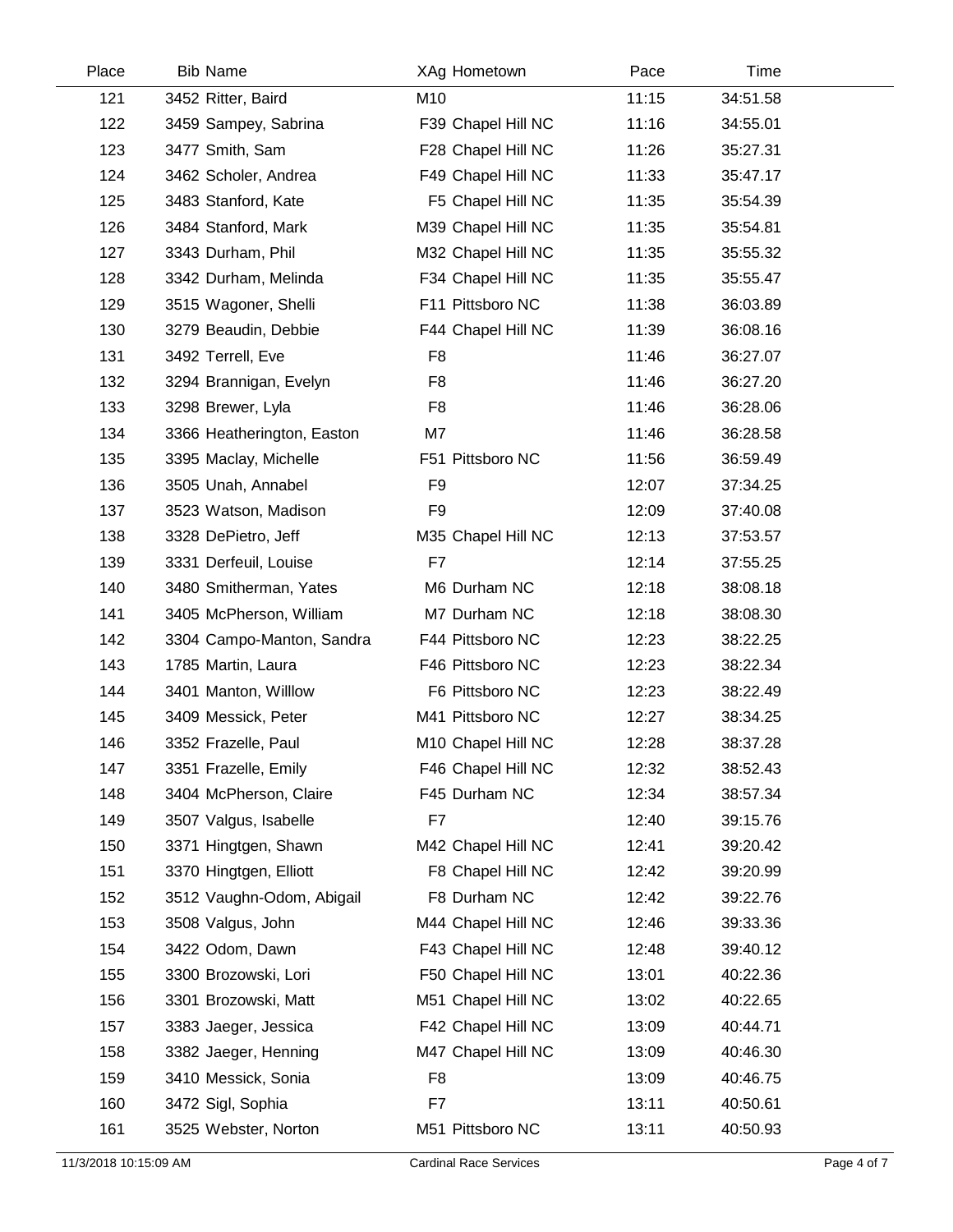| Place | <b>Bib Name</b>            | XAg Hometown       | Pace  | Time     |  |
|-------|----------------------------|--------------------|-------|----------|--|
| 121   | 3452 Ritter, Baird         | M10                | 11:15 | 34:51.58 |  |
| 122   | 3459 Sampey, Sabrina       | F39 Chapel Hill NC | 11:16 | 34:55.01 |  |
| 123   | 3477 Smith, Sam            | F28 Chapel Hill NC | 11:26 | 35:27.31 |  |
| 124   | 3462 Scholer, Andrea       | F49 Chapel Hill NC | 11:33 | 35:47.17 |  |
| 125   | 3483 Stanford, Kate        | F5 Chapel Hill NC  | 11:35 | 35:54.39 |  |
| 126   | 3484 Stanford, Mark        | M39 Chapel Hill NC | 11:35 | 35:54.81 |  |
| 127   | 3343 Durham, Phil          | M32 Chapel Hill NC | 11:35 | 35:55.32 |  |
| 128   | 3342 Durham, Melinda       | F34 Chapel Hill NC | 11:35 | 35:55.47 |  |
| 129   | 3515 Wagoner, Shelli       | F11 Pittsboro NC   | 11:38 | 36:03.89 |  |
| 130   | 3279 Beaudin, Debbie       | F44 Chapel Hill NC | 11:39 | 36:08.16 |  |
| 131   | 3492 Terrell, Eve          | F <sub>8</sub>     | 11:46 | 36:27.07 |  |
| 132   | 3294 Brannigan, Evelyn     | F <sub>8</sub>     | 11:46 | 36:27.20 |  |
| 133   | 3298 Brewer, Lyla          | F <sub>8</sub>     | 11:46 | 36:28.06 |  |
| 134   | 3366 Heatherington, Easton | M7                 | 11:46 | 36:28.58 |  |
| 135   | 3395 Maclay, Michelle      | F51 Pittsboro NC   | 11:56 | 36:59.49 |  |
| 136   | 3505 Unah, Annabel         | F <sub>9</sub>     | 12:07 | 37:34.25 |  |
| 137   | 3523 Watson, Madison       | F <sub>9</sub>     | 12:09 | 37:40.08 |  |
| 138   | 3328 DePietro, Jeff        | M35 Chapel Hill NC | 12:13 | 37:53.57 |  |
| 139   | 3331 Derfeuil, Louise      | F7                 | 12:14 | 37:55.25 |  |
| 140   | 3480 Smitherman, Yates     | M6 Durham NC       | 12:18 | 38:08.18 |  |
| 141   | 3405 McPherson, William    | M7 Durham NC       | 12:18 | 38:08.30 |  |
| 142   | 3304 Campo-Manton, Sandra  | F44 Pittsboro NC   | 12:23 | 38:22.25 |  |
| 143   | 1785 Martin, Laura         | F46 Pittsboro NC   | 12:23 | 38:22.34 |  |
| 144   | 3401 Manton, Willlow       | F6 Pittsboro NC    | 12:23 | 38:22.49 |  |
| 145   | 3409 Messick, Peter        | M41 Pittsboro NC   | 12:27 | 38:34.25 |  |
| 146   | 3352 Frazelle, Paul        | M10 Chapel Hill NC | 12:28 | 38:37.28 |  |
| 147   | 3351 Frazelle, Emily       | F46 Chapel Hill NC | 12:32 | 38:52.43 |  |
| 148   | 3404 McPherson, Claire     | F45 Durham NC      | 12:34 | 38:57.34 |  |
| 149   | 3507 Valgus, Isabelle      | F7                 | 12:40 | 39:15.76 |  |
| 150   | 3371 Hingtgen, Shawn       | M42 Chapel Hill NC | 12:41 | 39:20.42 |  |
| 151   | 3370 Hingtgen, Elliott     | F8 Chapel Hill NC  | 12:42 | 39:20.99 |  |
| 152   | 3512 Vaughn-Odom, Abigail  | F8 Durham NC       | 12:42 | 39:22.76 |  |
| 153   | 3508 Valgus, John          | M44 Chapel Hill NC | 12:46 | 39:33.36 |  |
| 154   | 3422 Odom, Dawn            | F43 Chapel Hill NC | 12:48 | 39:40.12 |  |
| 155   | 3300 Brozowski, Lori       | F50 Chapel Hill NC | 13:01 | 40:22.36 |  |
| 156   | 3301 Brozowski, Matt       | M51 Chapel Hill NC | 13:02 | 40:22.65 |  |
| 157   | 3383 Jaeger, Jessica       | F42 Chapel Hill NC | 13:09 | 40:44.71 |  |
| 158   | 3382 Jaeger, Henning       | M47 Chapel Hill NC | 13:09 | 40:46.30 |  |
| 159   | 3410 Messick, Sonia        | F <sub>8</sub>     | 13:09 | 40:46.75 |  |
| 160   | 3472 Sigl, Sophia          | F7                 | 13:11 | 40:50.61 |  |
| 161   | 3525 Webster, Norton       | M51 Pittsboro NC   | 13:11 | 40:50.93 |  |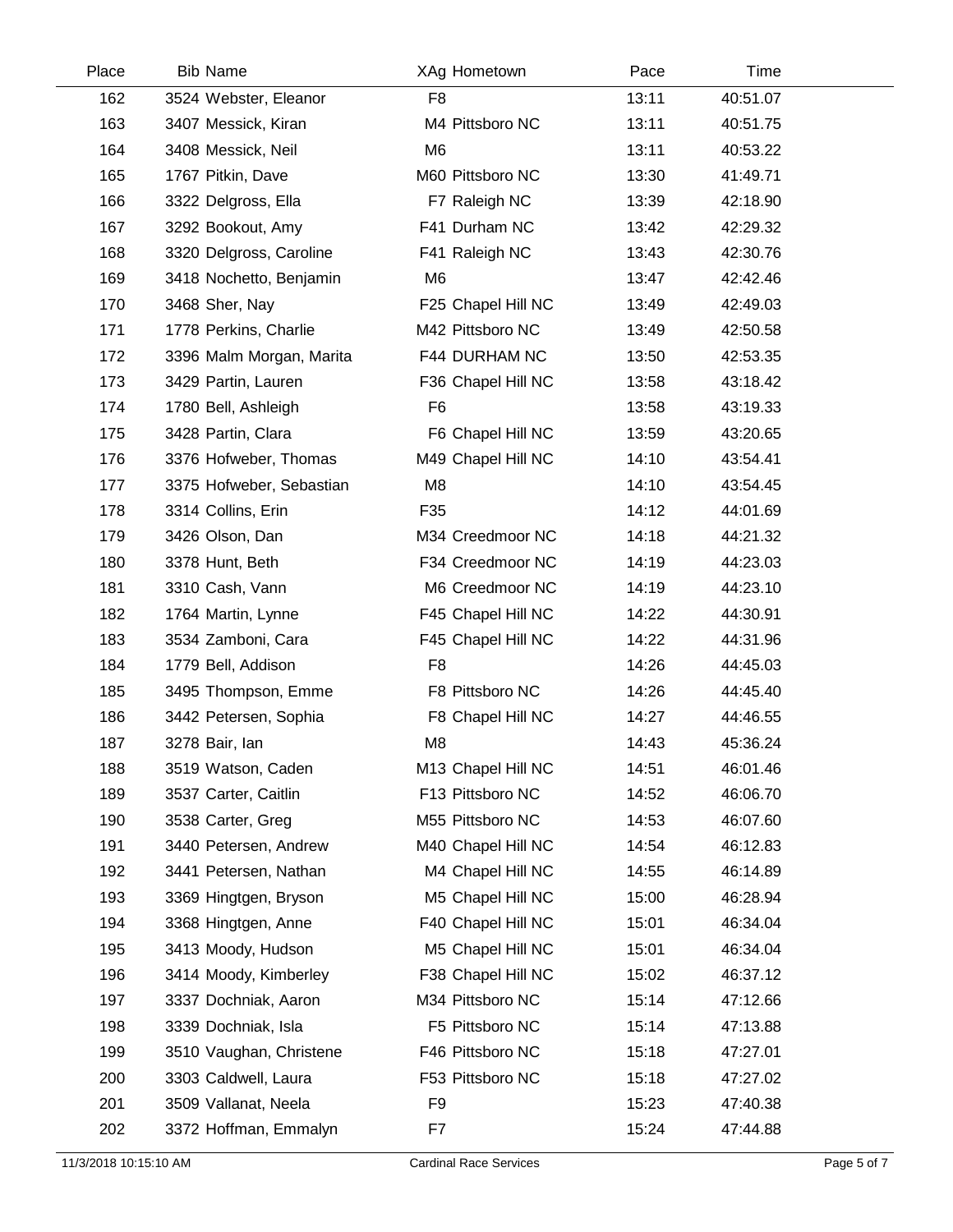| Place | <b>Bib Name</b>          | XAg Hometown       | Pace  | Time     |  |
|-------|--------------------------|--------------------|-------|----------|--|
| 162   | 3524 Webster, Eleanor    | F <sub>8</sub>     | 13:11 | 40:51.07 |  |
| 163   | 3407 Messick, Kiran      | M4 Pittsboro NC    | 13:11 | 40:51.75 |  |
| 164   | 3408 Messick, Neil       | M <sub>6</sub>     | 13:11 | 40:53.22 |  |
| 165   | 1767 Pitkin, Dave        | M60 Pittsboro NC   | 13:30 | 41:49.71 |  |
| 166   | 3322 Delgross, Ella      | F7 Raleigh NC      | 13:39 | 42:18.90 |  |
| 167   | 3292 Bookout, Amy        | F41 Durham NC      | 13:42 | 42:29.32 |  |
| 168   | 3320 Delgross, Caroline  | F41 Raleigh NC     | 13:43 | 42:30.76 |  |
| 169   | 3418 Nochetto, Benjamin  | M6                 | 13:47 | 42:42.46 |  |
| 170   | 3468 Sher, Nay           | F25 Chapel Hill NC | 13:49 | 42:49.03 |  |
| 171   | 1778 Perkins, Charlie    | M42 Pittsboro NC   | 13:49 | 42:50.58 |  |
| 172   | 3396 Malm Morgan, Marita | F44 DURHAM NC      | 13:50 | 42:53.35 |  |
| 173   | 3429 Partin, Lauren      | F36 Chapel Hill NC | 13:58 | 43:18.42 |  |
| 174   | 1780 Bell, Ashleigh      | F <sub>6</sub>     | 13:58 | 43:19.33 |  |
| 175   | 3428 Partin, Clara       | F6 Chapel Hill NC  | 13:59 | 43:20.65 |  |
| 176   | 3376 Hofweber, Thomas    | M49 Chapel Hill NC | 14:10 | 43:54.41 |  |
| 177   | 3375 Hofweber, Sebastian | M8                 | 14:10 | 43:54.45 |  |
| 178   | 3314 Collins, Erin       | F35                | 14:12 | 44:01.69 |  |
| 179   | 3426 Olson, Dan          | M34 Creedmoor NC   | 14:18 | 44:21.32 |  |
| 180   | 3378 Hunt, Beth          | F34 Creedmoor NC   | 14:19 | 44:23.03 |  |
| 181   | 3310 Cash, Vann          | M6 Creedmoor NC    | 14:19 | 44:23.10 |  |
| 182   | 1764 Martin, Lynne       | F45 Chapel Hill NC | 14:22 | 44:30.91 |  |
| 183   | 3534 Zamboni, Cara       | F45 Chapel Hill NC | 14:22 | 44:31.96 |  |
| 184   | 1779 Bell, Addison       | F <sub>8</sub>     | 14:26 | 44:45.03 |  |
| 185   | 3495 Thompson, Emme      | F8 Pittsboro NC    | 14:26 | 44:45.40 |  |
| 186   | 3442 Petersen, Sophia    | F8 Chapel Hill NC  | 14:27 | 44:46.55 |  |
| 187   | 3278 Bair, lan           | M <sub>8</sub>     | 14:43 | 45:36.24 |  |
| 188   | 3519 Watson, Caden       | M13 Chapel Hill NC | 14:51 | 46:01.46 |  |
| 189   | 3537 Carter, Caitlin     | F13 Pittsboro NC   | 14:52 | 46:06.70 |  |
| 190   | 3538 Carter, Greg        | M55 Pittsboro NC   | 14:53 | 46:07.60 |  |
| 191   | 3440 Petersen, Andrew    | M40 Chapel Hill NC | 14:54 | 46:12.83 |  |
| 192   | 3441 Petersen, Nathan    | M4 Chapel Hill NC  | 14:55 | 46:14.89 |  |
| 193   | 3369 Hingtgen, Bryson    | M5 Chapel Hill NC  | 15:00 | 46:28.94 |  |
| 194   | 3368 Hingtgen, Anne      | F40 Chapel Hill NC | 15:01 | 46:34.04 |  |
| 195   | 3413 Moody, Hudson       | M5 Chapel Hill NC  | 15:01 | 46:34.04 |  |
| 196   | 3414 Moody, Kimberley    | F38 Chapel Hill NC | 15:02 | 46:37.12 |  |
| 197   | 3337 Dochniak, Aaron     | M34 Pittsboro NC   | 15:14 | 47:12.66 |  |
| 198   | 3339 Dochniak, Isla      | F5 Pittsboro NC    | 15:14 | 47:13.88 |  |
| 199   | 3510 Vaughan, Christene  | F46 Pittsboro NC   | 15:18 | 47:27.01 |  |
| 200   | 3303 Caldwell, Laura     | F53 Pittsboro NC   | 15:18 | 47:27.02 |  |
| 201   | 3509 Vallanat, Neela     | F <sub>9</sub>     | 15:23 | 47:40.38 |  |
| 202   | 3372 Hoffman, Emmalyn    | F7                 | 15:24 | 47:44.88 |  |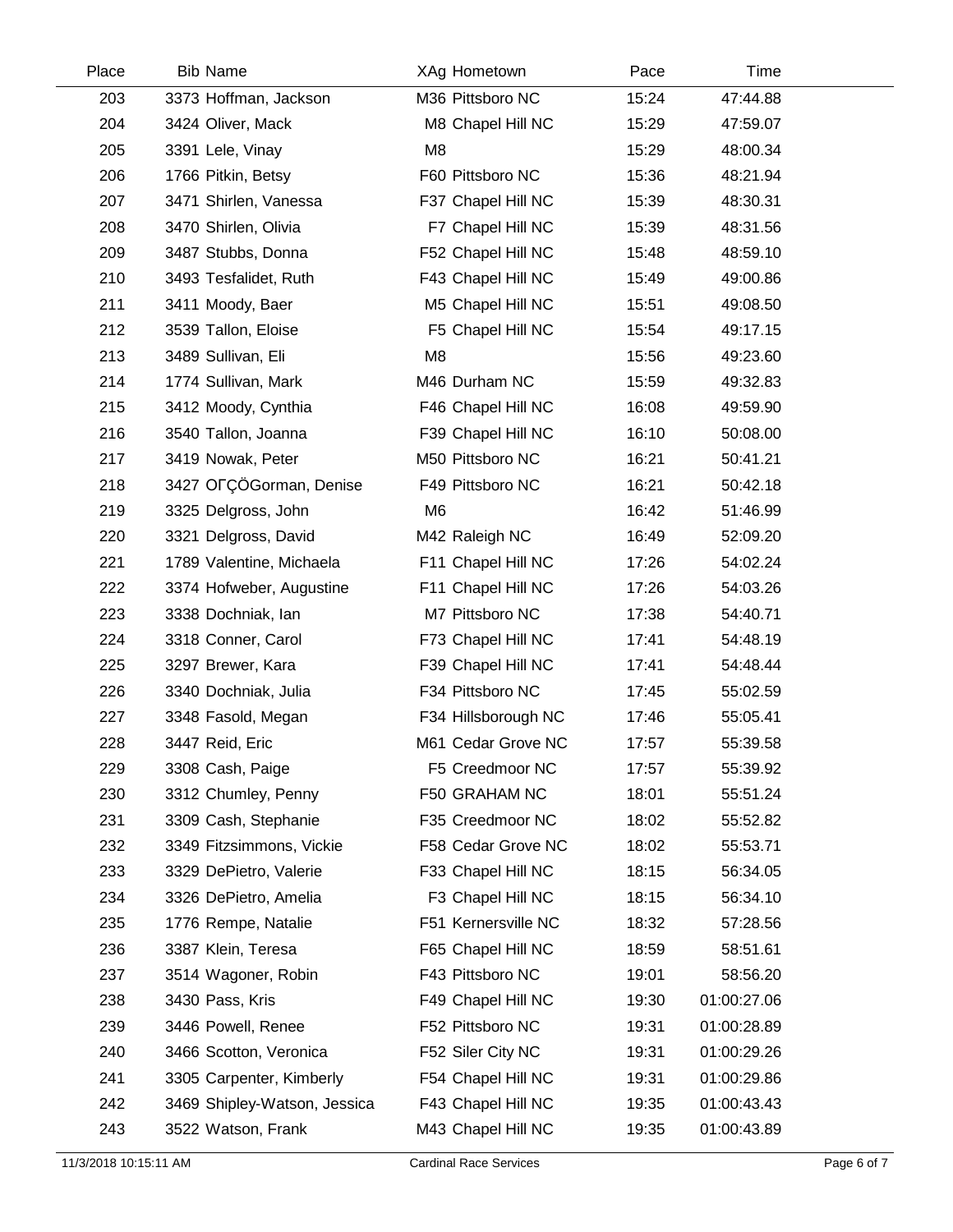| Place | <b>Bib Name</b>              | XAg Hometown        | Pace  | Time        |  |
|-------|------------------------------|---------------------|-------|-------------|--|
| 203   | 3373 Hoffman, Jackson        | M36 Pittsboro NC    | 15:24 | 47:44.88    |  |
| 204   | 3424 Oliver, Mack            | M8 Chapel Hill NC   | 15:29 | 47:59.07    |  |
| 205   | 3391 Lele, Vinay             | M <sub>8</sub>      | 15:29 | 48:00.34    |  |
| 206   | 1766 Pitkin, Betsy           | F60 Pittsboro NC    | 15:36 | 48:21.94    |  |
| 207   | 3471 Shirlen, Vanessa        | F37 Chapel Hill NC  | 15:39 | 48:30.31    |  |
| 208   | 3470 Shirlen, Olivia         | F7 Chapel Hill NC   | 15:39 | 48:31.56    |  |
| 209   | 3487 Stubbs, Donna           | F52 Chapel Hill NC  | 15:48 | 48:59.10    |  |
| 210   | 3493 Tesfalidet, Ruth        | F43 Chapel Hill NC  | 15:49 | 49:00.86    |  |
| 211   | 3411 Moody, Baer             | M5 Chapel Hill NC   | 15:51 | 49:08.50    |  |
| 212   | 3539 Tallon, Eloise          | F5 Chapel Hill NC   | 15:54 | 49:17.15    |  |
| 213   | 3489 Sullivan, Eli           | M <sub>8</sub>      | 15:56 | 49:23.60    |  |
| 214   | 1774 Sullivan, Mark          | M46 Durham NC       | 15:59 | 49:32.83    |  |
| 215   | 3412 Moody, Cynthia          | F46 Chapel Hill NC  | 16:08 | 49:59.90    |  |
| 216   | 3540 Tallon, Joanna          | F39 Chapel Hill NC  | 16:10 | 50:08.00    |  |
| 217   | 3419 Nowak, Peter            | M50 Pittsboro NC    | 16:21 | 50:41.21    |  |
| 218   | 3427 OFÇÖGorman, Denise      | F49 Pittsboro NC    | 16:21 | 50:42.18    |  |
| 219   | 3325 Delgross, John          | M <sub>6</sub>      | 16:42 | 51:46.99    |  |
| 220   | 3321 Delgross, David         | M42 Raleigh NC      | 16:49 | 52:09.20    |  |
| 221   | 1789 Valentine, Michaela     | F11 Chapel Hill NC  | 17:26 | 54:02.24    |  |
| 222   | 3374 Hofweber, Augustine     | F11 Chapel Hill NC  | 17:26 | 54:03.26    |  |
| 223   | 3338 Dochniak, lan           | M7 Pittsboro NC     | 17:38 | 54:40.71    |  |
| 224   | 3318 Conner, Carol           | F73 Chapel Hill NC  | 17:41 | 54:48.19    |  |
| 225   | 3297 Brewer, Kara            | F39 Chapel Hill NC  | 17:41 | 54:48.44    |  |
| 226   | 3340 Dochniak, Julia         | F34 Pittsboro NC    | 17:45 | 55:02.59    |  |
| 227   | 3348 Fasold, Megan           | F34 Hillsborough NC | 17:46 | 55:05.41    |  |
| 228   | 3447 Reid, Eric              | M61 Cedar Grove NC  | 17:57 | 55:39.58    |  |
| 229   | 3308 Cash, Paige             | F5 Creedmoor NC     | 17:57 | 55:39.92    |  |
| 230   | 3312 Chumley, Penny          | F50 GRAHAM NC       | 18:01 | 55:51.24    |  |
| 231   | 3309 Cash, Stephanie         | F35 Creedmoor NC    | 18:02 | 55:52.82    |  |
| 232   | 3349 Fitzsimmons, Vickie     | F58 Cedar Grove NC  | 18:02 | 55:53.71    |  |
| 233   | 3329 DePietro, Valerie       | F33 Chapel Hill NC  | 18:15 | 56:34.05    |  |
| 234   | 3326 DePietro, Amelia        | F3 Chapel Hill NC   | 18:15 | 56:34.10    |  |
| 235   | 1776 Rempe, Natalie          | F51 Kernersville NC | 18:32 | 57:28.56    |  |
| 236   | 3387 Klein, Teresa           | F65 Chapel Hill NC  | 18:59 | 58:51.61    |  |
| 237   | 3514 Wagoner, Robin          | F43 Pittsboro NC    | 19:01 | 58:56.20    |  |
| 238   | 3430 Pass, Kris              | F49 Chapel Hill NC  | 19:30 | 01:00:27.06 |  |
| 239   | 3446 Powell, Renee           | F52 Pittsboro NC    | 19:31 | 01:00:28.89 |  |
| 240   | 3466 Scotton, Veronica       | F52 Siler City NC   | 19:31 | 01:00:29.26 |  |
| 241   | 3305 Carpenter, Kimberly     | F54 Chapel Hill NC  | 19:31 | 01:00:29.86 |  |
| 242   | 3469 Shipley-Watson, Jessica | F43 Chapel Hill NC  | 19:35 | 01:00:43.43 |  |
| 243   | 3522 Watson, Frank           | M43 Chapel Hill NC  | 19:35 | 01:00:43.89 |  |